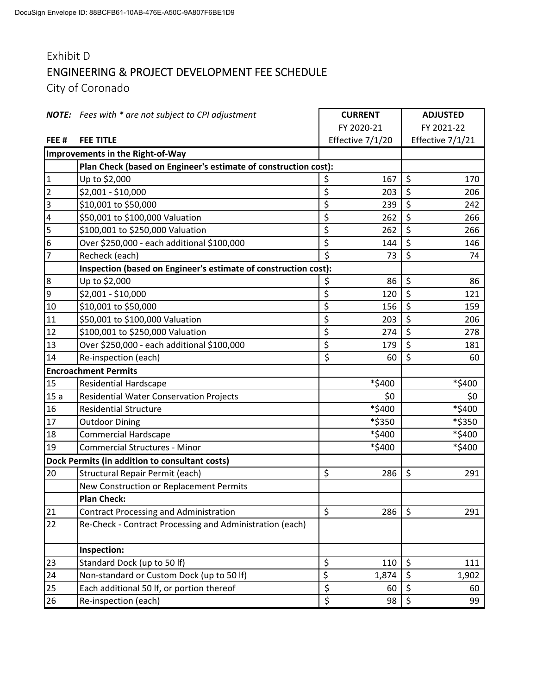## Exhibit D ENGINEERING & PROJECT DEVELOPMENT FEE SCHEDULE

City of Coronado

|                | <b>NOTE:</b> Fees with * are not subject to CPI adjustment      | <b>CURRENT</b>   |        | <b>ADJUSTED</b>  |                  |
|----------------|-----------------------------------------------------------------|------------------|--------|------------------|------------------|
|                |                                                                 | FY 2020-21       |        |                  | FY 2021-22       |
| FEE#           | <b>FEE TITLE</b>                                                | Effective 7/1/20 |        |                  | Effective 7/1/21 |
|                | Improvements in the Right-of-Way                                |                  |        |                  |                  |
|                | Plan Check (based on Engineer's estimate of construction cost): |                  |        |                  |                  |
| $\mathbf 1$    | Up to \$2,000                                                   | \$               | 167    | \$               | 170              |
| $\overline{2}$ | \$2,001 - \$10,000                                              | \$               | 203    | \$               | 206              |
| 3              | \$10,001 to \$50,000                                            | \$               | 239    | \$               | 242              |
| 4              | \$50,001 to \$100,000 Valuation                                 | \$               | 262    | \$               | 266              |
| 5              | \$100,001 to \$250,000 Valuation                                | \$               | 262    | \$               | 266              |
| 6              | Over \$250,000 - each additional \$100,000                      | \$               | 144    | \$               | 146              |
| 7              | Recheck (each)                                                  | \$               | 73     | \$               | 74               |
|                | Inspection (based on Engineer's estimate of construction cost): |                  |        |                  |                  |
| $\overline{8}$ | Up to \$2,000                                                   | \$               | 86     | \$               | 86               |
| 9              | \$2,001 - \$10,000                                              | \$               | 120    | \$               | 121              |
| $10\,$         | \$10,001 to \$50,000                                            | \$               | 156    | \$               | 159              |
| 11             | \$50,001 to \$100,000 Valuation                                 | \$               | 203    | \$               | 206              |
| 12             | \$100,001 to \$250,000 Valuation                                | \$               | 274    | \$               | 278              |
| 13             | Over \$250,000 - each additional \$100,000                      | \$               | 179    | $\overline{\xi}$ | 181              |
| 14             | Re-inspection (each)                                            | \$               | 60     | \$               | 60               |
|                | <b>Encroachment Permits</b>                                     |                  |        |                  |                  |
| 15             | <b>Residential Hardscape</b>                                    |                  | *\$400 |                  | *\$400           |
| 15a            | <b>Residential Water Conservation Projects</b>                  |                  | \$0    |                  | \$0              |
| 16             | <b>Residential Structure</b>                                    |                  | *\$400 |                  | *\$400           |
| 17             | <b>Outdoor Dining</b>                                           |                  | *\$350 |                  | *\$350           |
| 18             | <b>Commercial Hardscape</b>                                     |                  | *\$400 |                  | *\$400           |
| 19             | <b>Commercial Structures - Minor</b>                            |                  | *\$400 |                  | *\$400           |
|                | Dock Permits (in addition to consultant costs)                  |                  |        |                  |                  |
| 20             | Structural Repair Permit (each)                                 | \$               | 286    | \$               | 291              |
|                | New Construction or Replacement Permits                         |                  |        |                  |                  |
|                | <b>Plan Check:</b>                                              |                  |        |                  |                  |
| 21             | <b>Contract Processing and Administration</b>                   | \$               | 286    | \$               | 291              |
| 22             | Re-Check - Contract Processing and Administration (each)        |                  |        |                  |                  |
|                | Inspection:                                                     |                  |        |                  |                  |
| 23             | Standard Dock (up to 50 lf)                                     | \$               | 110    | \$               | 111              |
| 24             | Non-standard or Custom Dock (up to 50 lf)                       | \$               | 1,874  | \$               | 1,902            |
| 25             | Each additional 50 lf, or portion thereof                       | \$               | 60     | $\overline{\xi}$ | 60               |
| 26             | Re-inspection (each)                                            | $\overline{\xi}$ | 98     | \$               | 99               |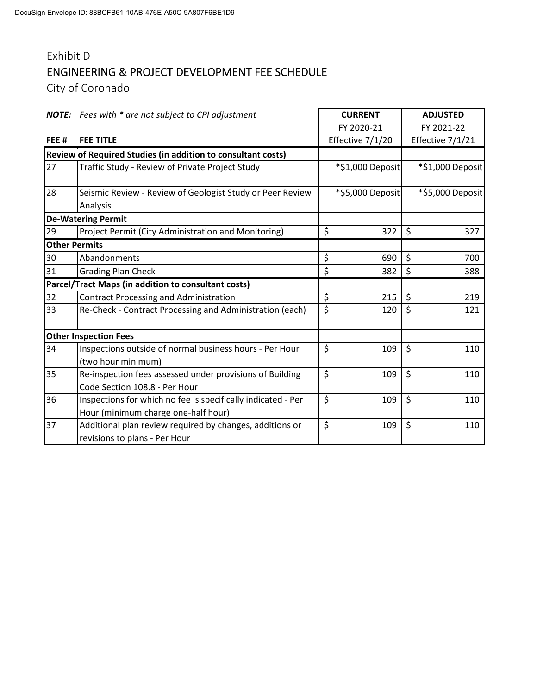## Exhibit D ENGINEERING & PROJECT DEVELOPMENT FEE SCHEDULE

City of Coronado

|                      | <b>NOTE:</b> Fees with * are not subject to CPI adjustment                                          | <b>CURRENT</b>   | <b>ADJUSTED</b>  |  |
|----------------------|-----------------------------------------------------------------------------------------------------|------------------|------------------|--|
|                      |                                                                                                     | FY 2020-21       | FY 2021-22       |  |
| FEE#                 | <b>FEE TITLE</b>                                                                                    | Effective 7/1/20 | Effective 7/1/21 |  |
|                      | Review of Required Studies (in addition to consultant costs)                                        |                  |                  |  |
| 27                   | Traffic Study - Review of Private Project Study                                                     | *\$1,000 Deposit | *\$1,000 Deposit |  |
| 28                   | Seismic Review - Review of Geologist Study or Peer Review<br>Analysis                               | *\$5,000 Deposit | *\$5,000 Deposit |  |
|                      | <b>De-Watering Permit</b>                                                                           |                  |                  |  |
| 29                   | Project Permit (City Administration and Monitoring)                                                 | \$<br>322        | $\zeta$<br>327   |  |
| <b>Other Permits</b> |                                                                                                     |                  |                  |  |
| 30                   | Abandonments                                                                                        | \$<br>690        | \$<br>700        |  |
| 31                   | <b>Grading Plan Check</b>                                                                           | \$<br>382        | \$<br>388        |  |
|                      | Parcel/Tract Maps (in addition to consultant costs)                                                 |                  |                  |  |
| 32                   | <b>Contract Processing and Administration</b>                                                       | \$<br>215        | \$<br>219        |  |
| 33                   | Re-Check - Contract Processing and Administration (each)                                            | \$<br>120        | \$<br>121        |  |
|                      | <b>Other Inspection Fees</b>                                                                        |                  |                  |  |
| 34                   | Inspections outside of normal business hours - Per Hour<br>(two hour minimum)                       | \$<br>109        | \$<br>110        |  |
| 35                   | Re-inspection fees assessed under provisions of Building<br>Code Section 108.8 - Per Hour           | \$<br>109        | $\zeta$<br>110   |  |
| 36                   | Inspections for which no fee is specifically indicated - Per<br>Hour (minimum charge one-half hour) | \$<br>109        | \$<br>110        |  |
| 37                   | Additional plan review required by changes, additions or<br>revisions to plans - Per Hour           | \$<br>109        | \$<br>110        |  |